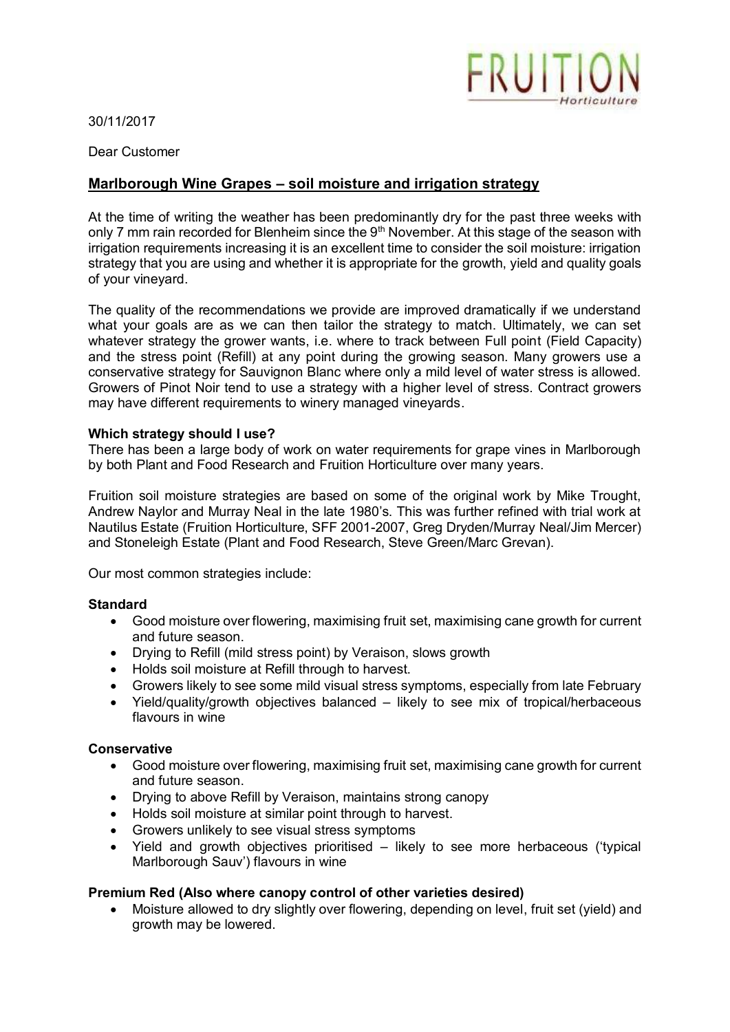

30/11/2017

Dear Customer

# **Marlborough Wine Grapes – soil moisture and irrigation strategy**

At the time of writing the weather has been predominantly dry for the past three weeks with only 7 mm rain recorded for Blenheim since the 9<sup>th</sup> November. At this stage of the season with irrigation requirements increasing it is an excellent time to consider the soil moisture: irrigation strategy that you are using and whether it is appropriate for the growth, yield and quality goals of your vineyard.

The quality of the recommendations we provide are improved dramatically if we understand what your goals are as we can then tailor the strategy to match. Ultimately, we can set whatever strategy the grower wants, i.e. where to track between Full point (Field Capacity) and the stress point (Refill) at any point during the growing season. Many growers use a conservative strategy for Sauvignon Blanc where only a mild level of water stress is allowed. Growers of Pinot Noir tend to use a strategy with a higher level of stress. Contract growers may have different requirements to winery managed vineyards.

## **Which strategy should I use?**

There has been a large body of work on water requirements for grape vines in Marlborough by both Plant and Food Research and Fruition Horticulture over many years.

Fruition soil moisture strategies are based on some of the original work by Mike Trought, Andrew Naylor and Murray Neal in the late 1980's. This was further refined with trial work at Nautilus Estate (Fruition Horticulture, SFF 2001-2007, Greg Dryden/Murray Neal/Jim Mercer) and Stoneleigh Estate (Plant and Food Research, Steve Green/Marc Grevan).

Our most common strategies include:

#### **Standard**

- Good moisture over flowering, maximising fruit set, maximising cane growth for current and future season.
- Drying to Refill (mild stress point) by Veraison, slows growth
- Holds soil moisture at Refill through to harvest.
- Growers likely to see some mild visual stress symptoms, especially from late February
- Yield/quality/growth objectives balanced likely to see mix of tropical/herbaceous flavours in wine

#### **Conservative**

- Good moisture over flowering, maximising fruit set, maximising cane growth for current and future season.
- Drying to above Refill by Veraison, maintains strong canopy
- Holds soil moisture at similar point through to harvest.
- Growers unlikely to see visual stress symptoms
- Yield and growth objectives prioritised likely to see more herbaceous ('typical Marlborough Sauv') flavours in wine

# **Premium Red (Also where canopy control of other varieties desired)**

 Moisture allowed to dry slightly over flowering, depending on level, fruit set (yield) and growth may be lowered.